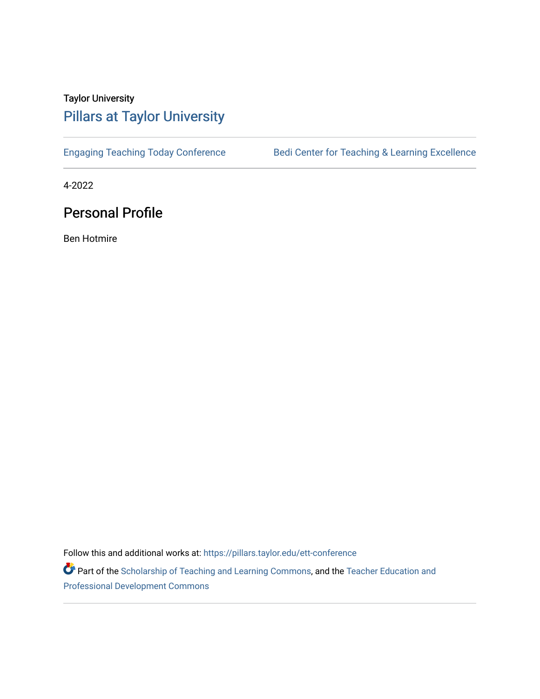## Taylor University [Pillars at Taylor University](https://pillars.taylor.edu/)

[Engaging Teaching Today Conference](https://pillars.taylor.edu/ett-conference) [Bedi Center for Teaching & Learning Excellence](https://pillars.taylor.edu/bctle) 

4-2022

## Personal Profile

Ben Hotmire

Follow this and additional works at: [https://pillars.taylor.edu/ett-conference](https://pillars.taylor.edu/ett-conference?utm_source=pillars.taylor.edu%2Fett-conference%2F18&utm_medium=PDF&utm_campaign=PDFCoverPages) 

Part of the [Scholarship of Teaching and Learning Commons,](https://network.bepress.com/hgg/discipline/1328?utm_source=pillars.taylor.edu%2Fett-conference%2F18&utm_medium=PDF&utm_campaign=PDFCoverPages) and the [Teacher Education and](https://network.bepress.com/hgg/discipline/803?utm_source=pillars.taylor.edu%2Fett-conference%2F18&utm_medium=PDF&utm_campaign=PDFCoverPages)  [Professional Development Commons](https://network.bepress.com/hgg/discipline/803?utm_source=pillars.taylor.edu%2Fett-conference%2F18&utm_medium=PDF&utm_campaign=PDFCoverPages)